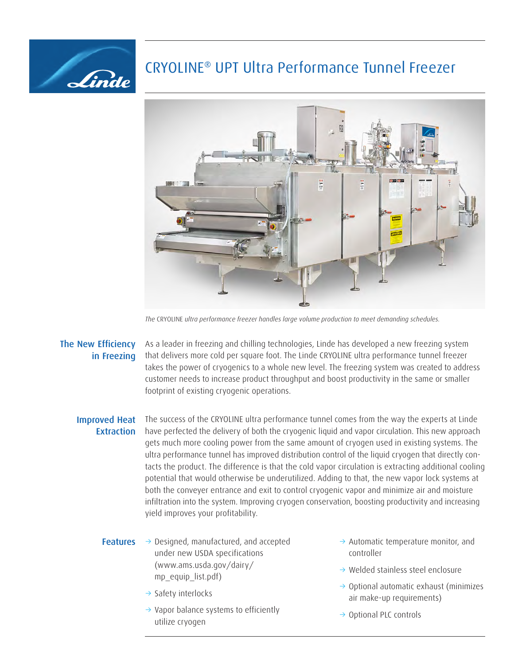## CRYOLINE® UPT Ultra Performance Tunnel Freezer



*The* CRYOLINE *ultra performance freezer handles large volume production to meet demanding schedules.*

## The New Efficiency in Freezing

Linde

As a leader in freezing and chilling technologies, Linde has developed a new freezing system that delivers more cold per square foot. The Linde CRYOLINE ultra performance tunnel freezer takes the power of cryogenics to a whole new level. The freezing system was created to address customer needs to increase product throughput and boost productivity in the same or smaller footprint of existing cryogenic operations.

## Improved Heat **Extraction**

The success of the CRYOLINE ultra performance tunnel comes from the way the experts at Linde have perfected the delivery of both the cryogenic liquid and vapor circulation. This new approach gets much more cooling power from the same amount of cryogen used in existing systems. The ultra performance tunnel has improved distribution control of the liquid cryogen that directly contacts the product. The difference is that the cold vapor circulation is extracting additional cooling potential that would otherwise be underutilized. Adding to that, the new vapor lock systems at both the conveyer entrance and exit to control cryogenic vapor and minimize air and moisture infiltration into the system. Improving cryogen conservation, boosting productivity and increasing yield improves your profitability.

## **Features**  $\rightarrow$  Designed, manufactured, and accepted under new USDA specifications (www.ams.usda.gov/dairy/ mp\_equip\_list.pdf)

- $\rightarrow$  Safety interlocks
- $\rightarrow$  Vapor balance systems to efficiently utilize cryogen
- $\rightarrow$  Automatic temperature monitor, and controller
- $\rightarrow$  Welded stainless steel enclosure
- $\rightarrow$  Optional automatic exhaust (minimizes air make-up requirements)
- → Optional PLC controls